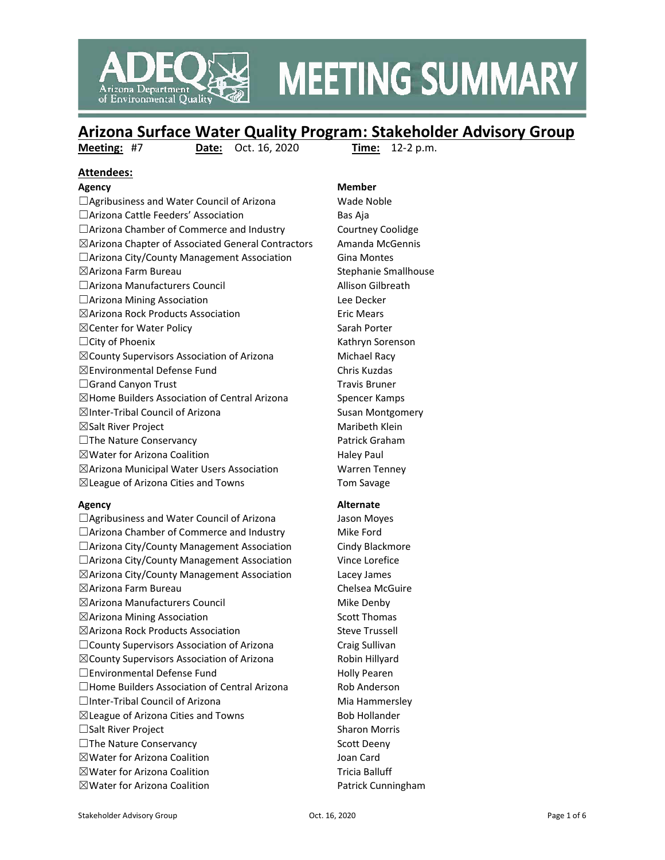

# **MEETING SUMMARY**

## **Arizona Surface Water Quality Program: Stakeholder Advisory Group**

**Meeting:** #7 **Date:** Oct. 16, 2020 **Time:** 12-2 p.m.

## **Attendees:**

□Agribusiness and Water Council of Arizona Wade Noble □Arizona Cattle Feeders' Association Bas Aja □Arizona Chamber of Commerce and Industry Courtney Coolidge ☒Arizona Chapter of Associated General Contractors Amanda McGennis □Arizona City/County Management Association Gina Montes ☒Arizona Farm Bureau Stephanie Smallhouse ☐Arizona Manufacturers Council Allison Gilbreath ☐Arizona Mining Association Lee Decker ☒Arizona Rock Products Association Eric Mears ⊠Center for Water Policy Sarah Porter □City of Phoenix Kathryn Sorenson  $\boxtimes$ County Supervisors Association of Arizona Michael Racy ☒Environmental Defense Fund Chris Kuzdas  $\Box$ Grand Canyon Trust  $\Box$ Grand Canyon Trust  $\boxtimes$ Home Builders Association of Central Arizona Spencer Kamps ⊠Inter-Tribal Council of Arizona Susan Montgomery  $\boxtimes$ Salt River Project  $\boxtimes$  Maribeth Klein □The Nature Conservancy Patrick Graham  $\boxtimes$  Water for Arizona Coalition  $\Box$  Haley Paul ☒Arizona Municipal Water Users Association Warren Tenney ☒League of Arizona Cities and Towns Tom Savage

□Agribusiness and Water Council of Arizona Jason Moyes □Arizona Chamber of Commerce and Industry Mike Ford □Arizona City/County Management Association Cindy Blackmore □Arizona City/County Management Association Vince Lorefice ☒Arizona City/County Management Association Lacey James ☒Arizona Farm Bureau Chelsea McGuire ☒Arizona Manufacturers Council Mike Denby ⊠Arizona Mining Association Scott Thomas ☒Arizona Rock Products Association Steve Trussell ☐County Supervisors Association of Arizona Craig Sullivan ☒County Supervisors Association of Arizona Robin Hillyard □Environmental Defense Fund Holly Pearen □Home Builders Association of Central Arizona Rob Anderson □Inter-Tribal Council of Arizona Mia Hammersley  $\boxtimes$ League of Arizona Cities and Towns Bob Hollander □Salt River Project Sharon Morris □The Nature Conservancy Scott Deeny ☒Water for Arizona Coalition Joan Card ⊠Water for Arizona Coalition Tricia Balluff  $\boxtimes$ Water for Arizona Coalition  $\Box$  Patrick Cunningham

#### **Agency Member**

#### **Agency Alternate**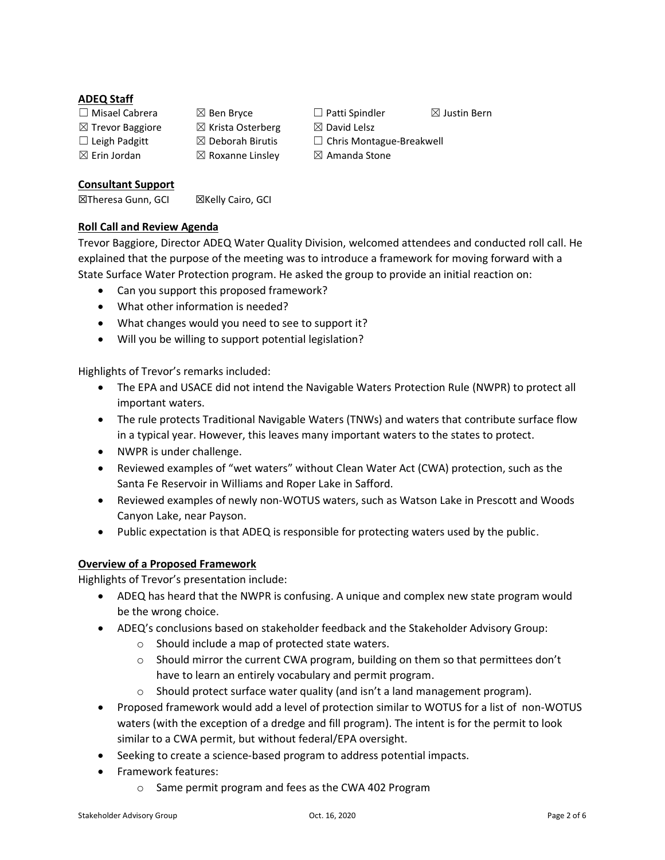#### **ADEQ Staff**

 $\boxtimes$  Trevor Baggiore  $\boxtimes$  Krista Osterberg  $\boxtimes$  David Lelsz  $\boxtimes$  Erin Jordan  $\boxtimes$  Roxanne Linsley  $\boxtimes$  Amanda Stone

☐ Misael Cabrera ☒ Ben Bryce ☐ Patti Spindler ☒ Justin Bern ☐ Leigh Padgitt ☒ Deborah Birutis ☐ Chris Montague-Breakwell

**Consultant Support**

**⊠Theresa Gunn, GCI 2Kelly Cairo, GCI** 

### **Roll Call and Review Agenda**

Trevor Baggiore, Director ADEQ Water Quality Division, welcomed attendees and conducted roll call. He explained that the purpose of the meeting was to introduce a framework for moving forward with a State Surface Water Protection program. He asked the group to provide an initial reaction on:

- Can you support this proposed framework?
- What other information is needed?
- What changes would you need to see to support it?
- Will you be willing to support potential legislation?

Highlights of Trevor's remarks included:

- The EPA and USACE did not intend the Navigable Waters Protection Rule (NWPR) to protect all important waters.
- The rule protects Traditional Navigable Waters (TNWs) and waters that contribute surface flow in a typical year. However, this leaves many important waters to the states to protect.
- NWPR is under challenge.
- Reviewed examples of "wet waters" without Clean Water Act (CWA) protection, such as the Santa Fe Reservoir in Williams and Roper Lake in Safford.
- Reviewed examples of newly non-WOTUS waters, such as Watson Lake in Prescott and Woods Canyon Lake, near Payson.
- Public expectation is that ADEQ is responsible for protecting waters used by the public.

#### **Overview of a Proposed Framework**

Highlights of Trevor's presentation include:

- ADEQ has heard that the NWPR is confusing. A unique and complex new state program would be the wrong choice.
- ADEQ's conclusions based on stakeholder feedback and the Stakeholder Advisory Group:
	- o Should include a map of protected state waters.
	- $\circ$  Should mirror the current CWA program, building on them so that permittees don't have to learn an entirely vocabulary and permit program.
	- $\circ$  Should protect surface water quality (and isn't a land management program).
- Proposed framework would add a level of protection similar to WOTUS for a list of non-WOTUS waters (with the exception of a dredge and fill program). The intent is for the permit to look similar to a CWA permit, but without federal/EPA oversight.
- Seeking to create a science-based program to address potential impacts.
- Framework features:
	- o Same permit program and fees as the CWA 402 Program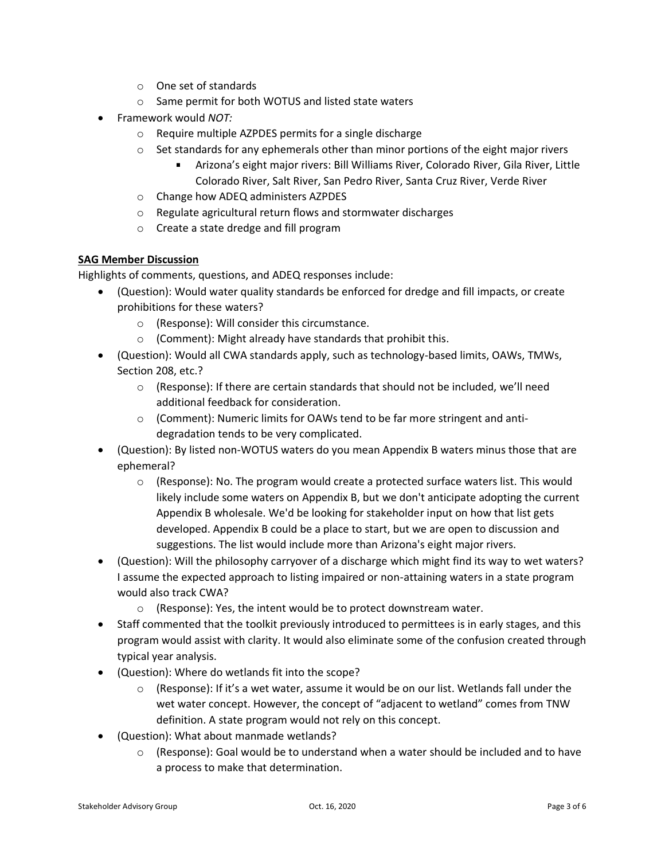- o One set of standards
- o Same permit for both WOTUS and listed state waters
- Framework would *NOT:*
	- o Require multiple AZPDES permits for a single discharge
	- $\circ$  Set standards for any ephemerals other than minor portions of the eight major rivers
		- Arizona's eight major rivers: Bill Williams River, Colorado River, Gila River, Little Colorado River, Salt River, San Pedro River, Santa Cruz River, Verde River
	- o Change how ADEQ administers AZPDES
	- o Regulate agricultural return flows and stormwater discharges
	- o Create a state dredge and fill program

#### **SAG Member Discussion**

Highlights of comments, questions, and ADEQ responses include:

- (Question): Would water quality standards be enforced for dredge and fill impacts, or create prohibitions for these waters?
	- o (Response): Will consider this circumstance.
	- o (Comment): Might already have standards that prohibit this.
- (Question): Would all CWA standards apply, such as technology-based limits, OAWs, TMWs, Section 208, etc.?
	- $\circ$  (Response): If there are certain standards that should not be included, we'll need additional feedback for consideration.
	- o (Comment): Numeric limits for OAWs tend to be far more stringent and antidegradation tends to be very complicated.
- (Question): By listed non-WOTUS waters do you mean Appendix B waters minus those that are ephemeral?
	- $\circ$  (Response): No. The program would create a protected surface waters list. This would likely include some waters on Appendix B, but we don't anticipate adopting the current Appendix B wholesale. We'd be looking for stakeholder input on how that list gets developed. Appendix B could be a place to start, but we are open to discussion and suggestions. The list would include more than Arizona's eight major rivers.
- (Question): Will the philosophy carryover of a discharge which might find its way to wet waters? I assume the expected approach to listing impaired or non-attaining waters in a state program would also track CWA?
	- o (Response): Yes, the intent would be to protect downstream water.
- Staff commented that the toolkit previously introduced to permittees is in early stages, and this program would assist with clarity. It would also eliminate some of the confusion created through typical year analysis.
- (Question): Where do wetlands fit into the scope?
	- $\circ$  (Response): If it's a wet water, assume it would be on our list. Wetlands fall under the wet water concept. However, the concept of "adjacent to wetland" comes from TNW definition. A state program would not rely on this concept.
- (Question): What about manmade wetlands?
	- $\circ$  (Response): Goal would be to understand when a water should be included and to have a process to make that determination.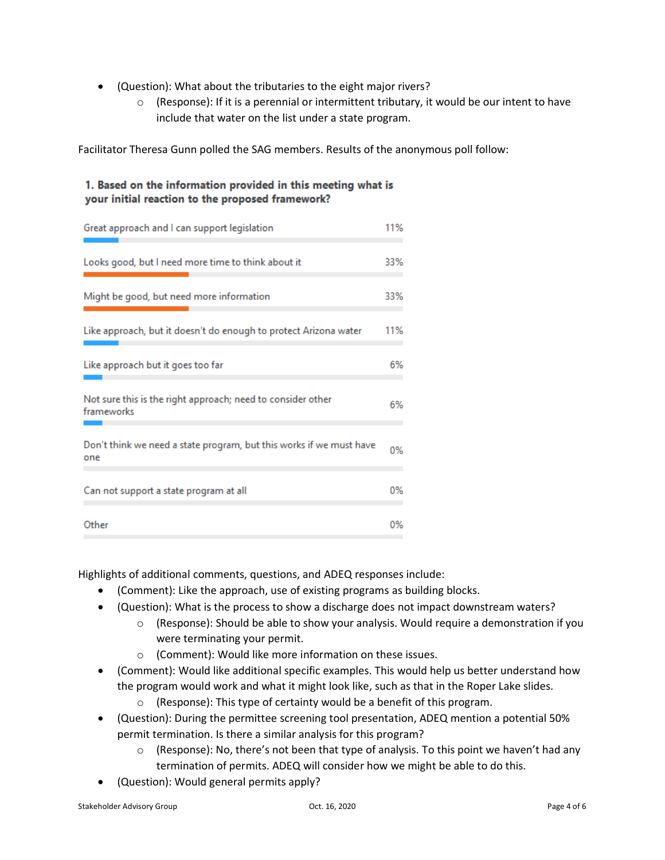- (Question): What about the tributaries to the eight major rivers?
	- $\circ$  (Response): If it is a perennial or intermittent tributary, it would be our intent to have include that water on the list under a state program.

Facilitator Theresa Gunn polled the SAG members. Results of the anonymous poll follow:

### 1. Based on the information provided in this meeting what is your initial reaction to the proposed framework?

| Great approach and I can support legislation                               | 11% |
|----------------------------------------------------------------------------|-----|
| Looks good, but I need more time to think about it                         | 33% |
| Might be good, but need more information                                   | 33% |
| Like approach, but it doesn't do enough to protect Arizona water           | 11% |
| Like approach but it goes too far                                          | 6%  |
| Not sure this is the right approach; need to consider other<br>frameworks  | 6%  |
| Don't think we need a state program, but this works if we must have<br>one | 0%  |
| Can not support a state program at all                                     | 0%  |
| Other                                                                      | 0%  |

Highlights of additional comments, questions, and ADEQ responses include:

- (Comment): Like the approach, use of existing programs as building blocks.
- (Question): What is the process to show a discharge does not impact downstream waters?
	- $\circ$  (Response): Should be able to show your analysis. Would require a demonstration if you were terminating your permit.
	- o (Comment): Would like more information on these issues.
- (Comment): Would like additional specific examples. This would help us better understand how the program would work and what it might look like, such as that in the Roper Lake slides.
	- o (Response): This type of certainty would be a benefit of this program.
- (Question): During the permittee screening tool presentation, ADEQ mention a potential 50% permit termination. Is there a similar analysis for this program?
	- $\circ$  (Response): No, there's not been that type of analysis. To this point we haven't had any termination of permits. ADEQ will consider how we might be able to do this.
- (Question): Would general permits apply?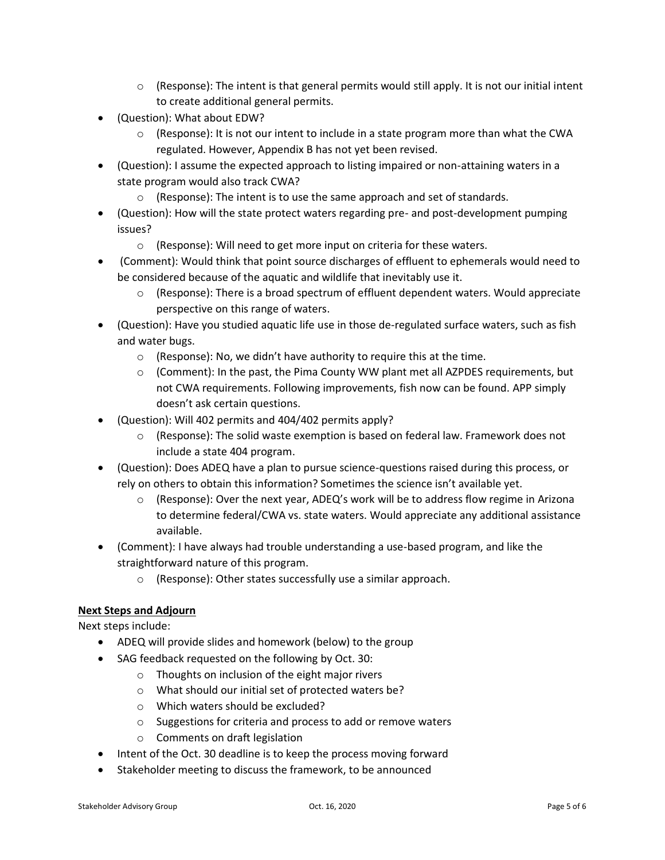- $\circ$  (Response): The intent is that general permits would still apply. It is not our initial intent to create additional general permits.
- (Question): What about EDW?
	- $\circ$  (Response): It is not our intent to include in a state program more than what the CWA regulated. However, Appendix B has not yet been revised.
- (Question): I assume the expected approach to listing impaired or non-attaining waters in a state program would also track CWA?
	- $\circ$  (Response): The intent is to use the same approach and set of standards.
- (Question): How will the state protect waters regarding pre- and post-development pumping issues?
	- o (Response): Will need to get more input on criteria for these waters.
- (Comment): Would think that point source discharges of effluent to ephemerals would need to be considered because of the aquatic and wildlife that inevitably use it.
	- $\circ$  (Response): There is a broad spectrum of effluent dependent waters. Would appreciate perspective on this range of waters.
- (Question): Have you studied aquatic life use in those de-regulated surface waters, such as fish and water bugs.
	- o (Response): No, we didn't have authority to require this at the time.
	- $\circ$  (Comment): In the past, the Pima County WW plant met all AZPDES requirements, but not CWA requirements. Following improvements, fish now can be found. APP simply doesn't ask certain questions.
- (Question): Will 402 permits and 404/402 permits apply?
	- $\circ$  (Response): The solid waste exemption is based on federal law. Framework does not include a state 404 program.
- (Question): Does ADEQ have a plan to pursue science-questions raised during this process, or rely on others to obtain this information? Sometimes the science isn't available yet.
	- $\circ$  (Response): Over the next year, ADEQ's work will be to address flow regime in Arizona to determine federal/CWA vs. state waters. Would appreciate any additional assistance available.
- (Comment): I have always had trouble understanding a use-based program, and like the straightforward nature of this program.
	- o (Response): Other states successfully use a similar approach.

#### **Next Steps and Adjourn**

Next steps include:

- ADEQ will provide slides and homework (below) to the group
- SAG feedback requested on the following by Oct. 30:
	- o Thoughts on inclusion of the eight major rivers
	- o What should our initial set of protected waters be?
	- o Which waters should be excluded?
	- o Suggestions for criteria and process to add or remove waters
	- o Comments on draft legislation
- Intent of the Oct. 30 deadline is to keep the process moving forward
- Stakeholder meeting to discuss the framework, to be announced